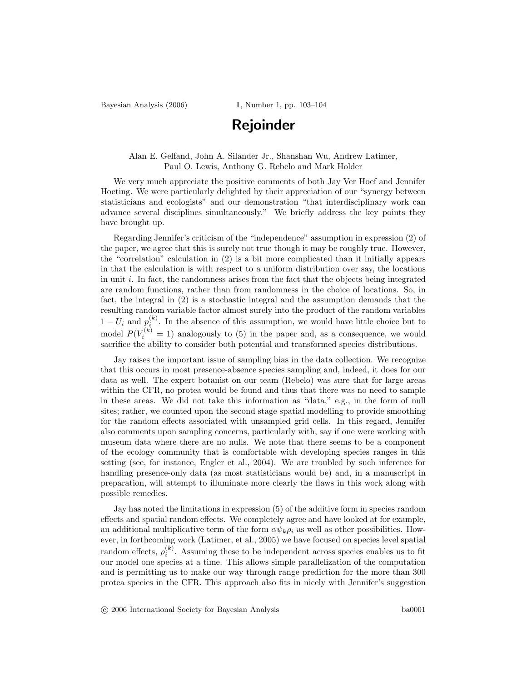Bayesian Analysis (2006) 1, Number 1, pp. 103-104

## Rejoinder

Alan E. Gelfand, John A. Silander Jr., Shanshan Wu, Andrew Latimer, Paul O. Lewis, Anthony G. Rebelo and Mark Holder

We very much appreciate the positive comments of both Jay Ver Hoef and Jennifer Hoeting. We were particularly delighted by their appreciation of our "synergy between statisticians and ecologists" and our demonstration "that interdisciplinary work can advance several disciplines simultaneously." We briefly address the key points they have brought up.

Regarding Jennifer's criticism of the "independence" assumption in expression (2) of the paper, we agree that this is surely not true though it may be roughly true. However, the "correlation" calculation in (2) is a bit more complicated than it initially appears in that the calculation is with respect to a uniform distribution over say, the locations in unit  $i$ . In fact, the randomness arises from the fact that the objects being integrated are random functions, rather than from randomness in the choice of locations. So, in fact, the integral in (2) is a stochastic integral and the assumption demands that the resulting random variable factor almost surely into the product of the random variables  $1-U_i$  and  $p_i^{(k)}$ . In the absence of this assumption, we would have little choice but to model  $P(V_i^{(k)} = 1)$  analogously to (5) in the paper and, as a consequence, we would sacrifice the ability to consider both potential and transformed species distributions.

Jay raises the important issue of sampling bias in the data collection. We recognize that this occurs in most presence-absence species sampling and, indeed, it does for our data as well. The expert botanist on our team (Rebelo) was sure that for large areas within the CFR, no protea would be found and thus that there was no need to sample in these areas. We did not take this information as "data," e.g., in the form of null sites; rather, we counted upon the second stage spatial modelling to provide smoothing for the random effects associated with unsampled grid cells. In this regard, Jennifer also comments upon sampling concerns, particularly with, say if one were working with museum data where there are no nulls. We note that there seems to be a component of the ecology community that is comfortable with developing species ranges in this setting (see, for instance, Engler et al., 2004). We are troubled by such inference for handling presence-only data (as most statisticians would be) and, in a manuscript in preparation, will attempt to illuminate more clearly the flaws in this work along with possible remedies.

Jay has noted the limitations in expression (5) of the additive form in species random effects and spatial random effects. We completely agree and have looked at for example, an additional multiplicative term of the form  $\alpha \psi_k \rho_i$  as well as other possibilities. However, in forthcoming work (Latimer, et al., 2005) we have focused on species level spatial random effects,  $\rho_i^{(k)}$ . Assuming these to be independent across species enables us to fit our model one species at a time. This allows simple parallelization of the computation and is permitting us to make our way through range prediction for the more than 300 protea species in the CFR. This approach also fits in nicely with Jennifer's suggestion

c 2006 International Society for Bayesian Analysis ba0001